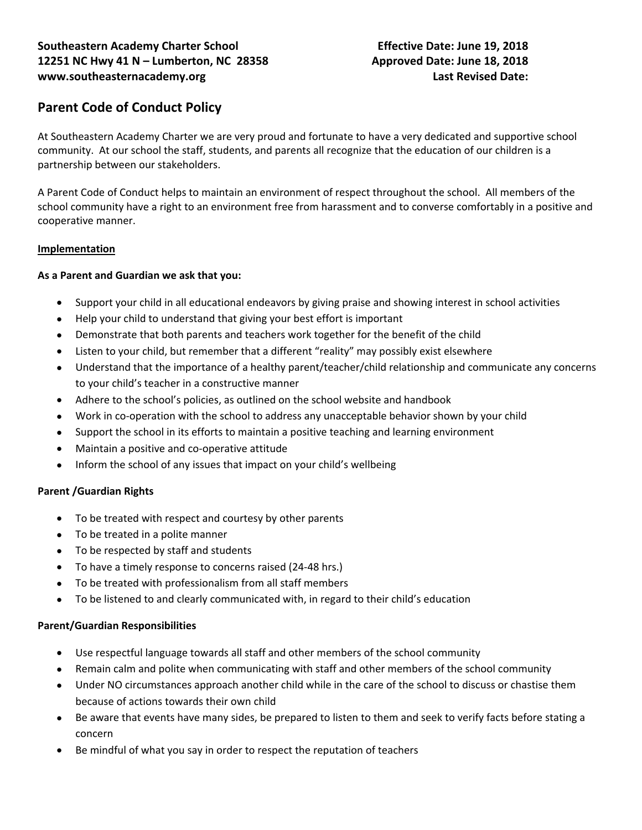# **Parent Code of Conduct Policy**

At Southeastern Academy Charter we are very proud and fortunate to have a very dedicated and supportive school community. At our school the staff, students, and parents all recognize that the education of our children is a partnership between our stakeholders.

A Parent Code of Conduct helps to maintain an environment of respect throughout the school. All members of the school community have a right to an environment free from harassment and to converse comfortably in a positive and cooperative manner.

#### **Implementation**

### **As a Parent and Guardian we ask that you:**

- Support your child in all educational endeavors by giving praise and showing interest in school activities
- Help your child to understand that giving your best effort is important
- Demonstrate that both parents and teachers work together for the benefit of the child
- Listen to your child, but remember that a different "reality" may possibly exist elsewhere
- Understand that the importance of a healthy parent/teacher/child relationship and communicate any concerns to your child's teacher in a constructive manner
- Adhere to the school's policies, as outlined on the school website and handbook
- Work in co-operation with the school to address any unacceptable behavior shown by your child
- Support the school in its efforts to maintain a positive teaching and learning environment
- Maintain a positive and co-operative attitude
- Inform the school of any issues that impact on your child's wellbeing

#### **Parent /Guardian Rights**

- To be treated with respect and courtesy by other parents
- To be treated in a polite manner
- To be respected by staff and students
- To have a timely response to concerns raised (24-48 hrs.)
- To be treated with professionalism from all staff members
- To be listened to and clearly communicated with, in regard to their child's education

#### **Parent/Guardian Responsibilities**

- Use respectful language towards all staff and other members of the school community
- Remain calm and polite when communicating with staff and other members of the school community
- Under NO circumstances approach another child while in the care of the school to discuss or chastise them because of actions towards their own child
- Be aware that events have many sides, be prepared to listen to them and seek to verify facts before stating a concern
- Be mindful of what you say in order to respect the reputation of teachers